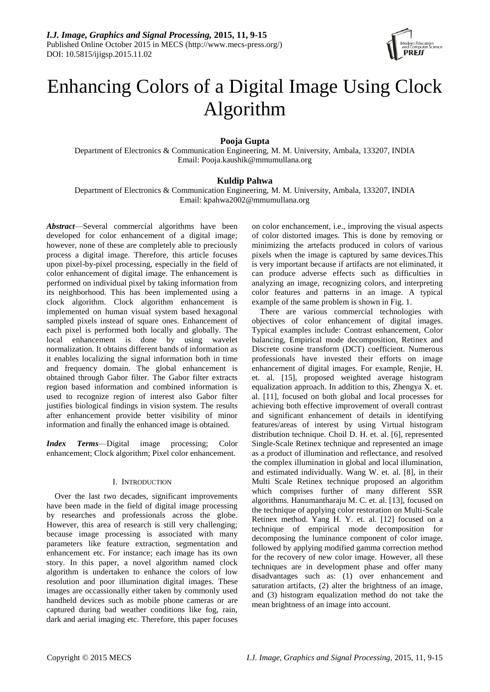

# Enhancing Colors of a Digital Image Using Clock Algorithm

## **Pooja Gupta**

Department of Electronics & Communication Engineering, M. M. University, Ambala, 133207, INDIA Email: Pooja.kaushik@mmumullana.org

## **Kuldip Pahwa**

Department of Electronics & Communication Engineering, M. M. University, Ambala, 133207, INDIA Email: kpahwa2002@mmumullana.org

*Abstract*—Several commercial algorithms have been developed for color enhancement of a digital image; however, none of these are completely able to preciously process a digital image. Therefore, this article focuses upon pixel-by-pixel processing, especially in the field of color enhancement of digital image. The enhancement is performed on individual pixel by taking information from its neighborhood. This has been implemented using a clock algorithm. Clock algorithm enhancement is implemented on human visual system based hexagonal sampled pixels instead of square ones. Enhancement of each pixel is performed both locally and globally. The local enhancement is done by using wavelet normalization. It obtains different bands of information as it enables localizing the signal information both in time and frequency domain. The global enhancement is obtained through Gabor filter. The Gabor filter extracts region based information and combined information is used to recognize region of interest also Gabor filter justifies biological findings in vision system. The results after enhancement provide better visibility of minor information and finally the enhanced image is obtained.

*Index Terms*—Digital image processing; Color enhancement; Clock algorithm; Pixel color enhancement.

#### I. INTRODUCTION

Over the last two decades, significant improvements have been made in the field of digital image processing by researches and professionals across the globe. However, this area of research is still very challenging; because image processing is associated with many parameters like feature extraction, segmentation and enhancement etc. For instance; each image has its own story. In this paper, a novel algorithm named clock algorithm is undertaken to enhance the colors of low resolution and poor illumination digital images. These images are occassionally either taken by commonly used handheld devices such as mobile phone cameras or are captured during bad weather conditions like fog, rain, dark and aerial imaging etc. Therefore, this paper focuses

on color enchancement, i.e., improving the visual aspects of color distorted images. This is done by removing or minimizing the artefacts produced in colors of various pixels when the image is captured by same devices.This is very important because if artifacts are not eliminated, it can produce adverse effects such as difficulties in analyzing an image, recognizing colors, and interpreting color features and patterns in an image. A typical example of the same problem is shown in Fig. 1.

There are various commercial technologies with objectives of color enhancement of digital images. Typical examples include: Contrast enhancement, Color balancing, Empirical mode decomposition, Retinex and Discrete cosine transform (DCT) coefficient. Numerous professionals have invested their efforts on image enhancement of digital images. For example, Renjie, H. et. al. [15], proposed weighted average histogram equalization approach. In addition to this, Zhengya X. et. al. [11], focused on both global and local processes for achieving both effective improvement of overall contrast and significant enhancement of details in identifying features/areas of interest by using Virtual histogram distribution technique. Choil D. H. et. al. [6], represented Single-Scale Retinex technique and represented an image as a product of illumination and reflectance, and resolved the complex illumination in global and local illumination, and estimated individually. Wang W. et. al. [8], in their Multi Scale Retinex technique proposed an algorithm which comprises further of many different SSR algorithms. Hanumantharaju M. C. et. al. [13], focused on the technique of applying color restoration on Multi-Scale Retinex method. Yang H. Y. et. al. [12] focused on a technique of empirical mode decomposition for decomposing the luminance component of color image, followed by applying modified gamma correction method for the recovery of new color image. However, all these techniques are in development phase and offer many disadvantages such as: (1) over enhancement and saturation artifacts, (2) alter the brightness of an image, and (3) histogram equalization method do not take the mean brightness of an image into account.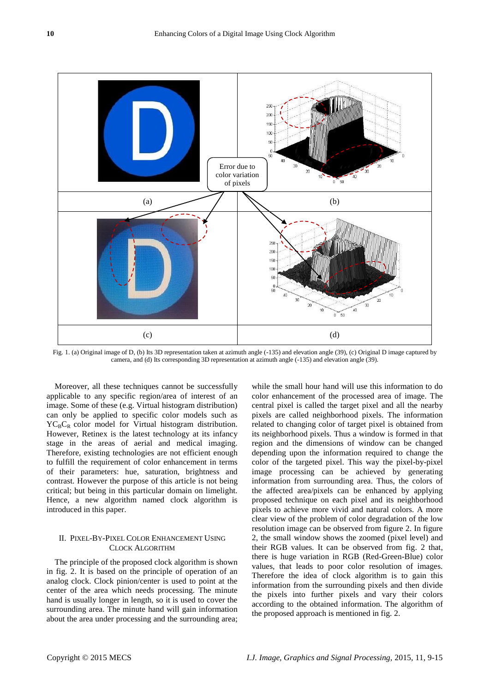

Fig. 1. (a) Original image of D, (b) Its 3D representation taken at azimuth angle (-135) and elevation angle (39), (c) Original D image captured by camera, and (d) Its corresponding 3D representation at azimuth angle (-135) and elevation angle (39).

Moreover, all these techniques cannot be successfully applicable to any specific region/area of interest of an image. Some of these (e.g. Virtual histogram distribution) can only be applied to specific color models such as  $YC<sub>B</sub>C<sub>R</sub>$  color model for Virtual histogram distribution. However, Retinex is the latest technology at its infancy stage in the areas of aerial and medical imaging. Therefore, existing technologies are not efficient enough to fulfill the requirement of color enhancement in terms of their parameters: hue, saturation, brightness and contrast. However the purpose of this article is not being critical; but being in this particular domain on limelight. Hence, a new algorithm named clock algorithm is introduced in this paper.

#### II. PIXEL-BY-PIXEL COLOR ENHANCEMENT USING CLOCK ALGORITHM

The principle of the proposed clock algorithm is shown in fig. 2. It is based on the principle of operation of an analog clock. Clock pinion/center is used to point at the center of the area which needs processing. The minute hand is usually longer in length, so it is used to cover the surrounding area. The minute hand will gain information about the area under processing and the surrounding area;

while the small hour hand will use this information to do color enhancement of the processed area of image. The central pixel is called the target pixel and all the nearby pixels are called neighborhood pixels. The information related to changing color of target pixel is obtained from its neighborhood pixels. Thus a window is formed in that region and the dimensions of window can be changed depending upon the information required to change the color of the targeted pixel. This way the pixel-by-pixel image processing can be achieved by generating information from surrounding area. Thus, the colors of the affected area/pixels can be enhanced by applying proposed technique on each pixel and its neighborhood pixels to achieve more vivid and natural colors. A more clear view of the problem of color degradation of the low resolution image can be observed from figure 2. In figure 2, the small window shows the zoomed (pixel level) and their RGB values. It can be observed from fig. 2 that, there is huge variation in RGB (Red-Green-Blue) color values, that leads to poor color resolution of images. Therefore the idea of clock algorithm is to gain this information from the surrounding pixels and then divide the pixels into further pixels and vary their colors according to the obtained information. The algorithm of the proposed approach is mentioned in fig. 2.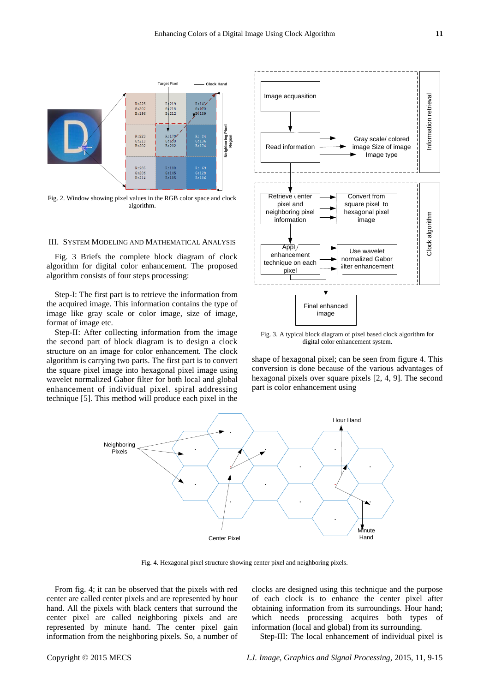

Fig. 2. Window showing pixel values in the RGB color space and clock algorithm.

#### III. SYSTEM MODELING AND MATHEMATICAL ANALYSIS

Fig. 3 Briefs the complete block diagram of clock algorithm for digital color enhancement. The proposed algorithm consists of four steps processing:

Step-I: The first part is to retrieve the information from the acquired image. This information contains the type of image like gray scale or color image, size of image, format of image etc.

Step-II: After collecting information from the image the second part of block diagram is to design a clock structure on an image for color enhancement. The clock algorithm is carrying two parts. The first part is to convert the square pixel image into hexagonal pixel image using wavelet normalized Gabor filter for both local and global enhancement of individual pixel. spiral addressing technique [5]. This method will produce each pixel in the



Fig. 3. A typical block diagram of pixel based clock algorithm for digital color enhancement system.

shape of hexagonal pixel; can be seen from figure 4. This conversion is done because of the various advantages of hexagonal pixels over square pixels [2, 4, 9]. The second part is color enhancement using



Fig. 4. Hexagonal pixel structure showing center pixel and neighboring pixels.

From fig. 4; it can be observed that the pixels with red center are called center pixels and are represented by hour hand. All the pixels with black centers that surround the center pixel are called neighboring pixels and are represented by minute hand. The center pixel gain information from the neighboring pixels. So, a number of clocks are designed using this technique and the purpose of each clock is to enhance the center pixel after obtaining information from its surroundings. Hour hand; which needs processing acquires both types information (local and global) from its surrounding.

Step-III: The local enhancement of individual pixel is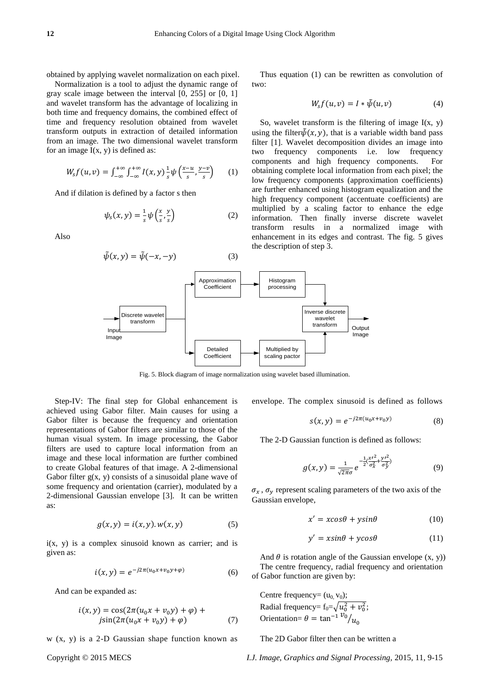obtained by applying wavelet normalization on each pixel.

Normalization is a tool to adjust the dynamic range of gray scale image between the interval [0, 255] or [0, 1] and wavelet transform has the advantage of localizing in both time and frequency domains, the combined effect of time and frequency resolution obtained from wavelet transform outputs in extraction of detailed information from an image. The two dimensional wavelet transform for an image  $I(x, y)$  is defined as:

$$
W_{S}f(u,v)=\int_{-\infty}^{+\infty}\int_{-\infty}^{+\infty}I(x,y)\frac{1}{s}\psi\left(\frac{x-u}{s},\frac{y-v}{s}\right)\qquad(1)
$$

And if dilation is defined by a factor s then

$$
\psi_s(x, y) = \frac{1}{s} \psi\left(\frac{x}{s}, \frac{y}{s}\right) \tag{2}
$$

Also

$$
\tilde{\psi}(x, y) = \tilde{\psi}(-x, -y) \tag{3}
$$

Thus equation (1) can be rewritten as convolution of two:

$$
Ws f (u, v) = I * \tilde{\psi}(u, v)
$$
 (4)

So, wavelet transform is the filtering of image  $I(x, y)$ using the filter  $\tilde{\psi}(x, y)$ , that is a variable width band pass filter [1]. Wavelet decomposition divides an image into two frequency components i.e. low frequency components and high frequency components. For obtaining complete local information from each pixel; the low frequency components (approximation coefficients) are further enhanced using histogram equalization and the high frequency component (accentuate coefficients) are multiplied by a scaling factor to enhance the edge information. Then finally inverse discrete wavelet transform results in a normalized image with enhancement in its edges and contrast. The fig. 5 gives the description of step 3.



Fig. 5. Block diagram of image normalization using wavelet based illumination.

Step-IV: The final step for Global enhancement is achieved using Gabor filter. Main causes for using a Gabor filter is because the frequency and orientation representations of Gabor filters are similar to those of the human visual system. In image processing, the Gabor filters are used to capture local information from an image and these local information are further combined to create Global features of that image. A 2-dimensional Gabor filter  $g(x, y)$  consists of a sinusoidal plane wave of some frequency and orientation (carrier), modulated by a 2-dimensional Gaussian envelope [3]. It can be written as:

$$
g(x, y) = i(x, y). w(x, y) \tag{5}
$$

 $i(x, y)$  is a complex sinusoid known as carrier; and is given as:

$$
i(x, y) = e^{-j2\pi(u_0 x + v_0 y + \varphi)}
$$
 (6)

And can be expanded as:

$$
i(x, y) = \cos(2\pi(u_0 x + v_0 y) + \varphi) + \njsin(2\pi(u_0 x + v_0 y) + \varphi)
$$
\n(7)

w (x, y) is a 2-D Gaussian shape function known as

envelope. The complex sinusoid is defined as follows

$$
s(x, y) = e^{-j2\pi(u_0 x + v_0 y)}
$$
 (8)

The 2-D Gaussian function is defined as follows:

$$
g(x,y) = \frac{1}{\sqrt{2\pi}\sigma} e^{-\frac{1}{2}(\frac{x'^2}{\sigma_x^2} + \frac{y'^2}{\sigma_y^2})}
$$
(9)

 $\sigma_x$ ,  $\sigma_y$  represent scaling parameters of the two axis of the Gaussian envelope,

$$
x' = x\cos\theta + y\sin\theta \tag{10}
$$

$$
y' = x\sin\theta + y\cos\theta \tag{11}
$$

And  $\theta$  is rotation angle of the Gaussian envelope  $(x, y)$ ) The centre frequency, radial frequency and orientation of Gabor function are given by:

Centre frequency=  $(u_0, v_0)$ ; Radial frequency=  $f_0 = \sqrt{u_0^2 + v_0^2}$ ; Orientation=  $\theta = \tan^{-1} \frac{v_0}{u}$ 

The 2D Gabor filter then can be written a

Copyright © 2015 MECS *I.J. Image, Graphics and Signal Processing,* 2015, 11, 9-15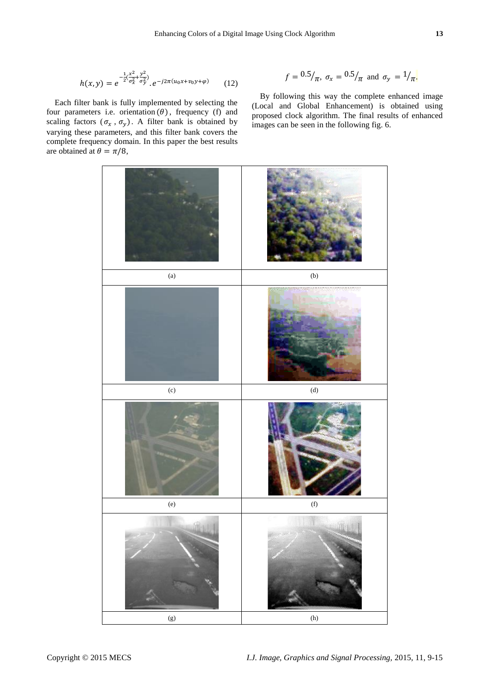$$
h(x,y) = e^{-\frac{1}{2}(\frac{x^2}{\sigma_x^2} + \frac{y^2}{\sigma_y^2})} \cdot e^{-j2\pi(u_0x + v_0y + \varphi)}
$$
(12)

Each filter bank is fully implemented by selecting the four parameters i.e. orientation  $(\theta)$ , frequency (f) and scaling factors  $(\sigma_x, \sigma_y)$ . A filter bank is obtained by varying these parameters, and this filter bank covers the complete frequency domain. In this paper the best results are obtained at  $\theta = \pi/8$ ,

$$
f = \frac{0.5}{\pi}
$$
,  $\sigma_x = \frac{0.5}{\pi}$  and  $\sigma_y = \frac{1}{\pi}$ .

By following this way the complete enhanced image (Local and Global Enhancement) is obtained using proposed clock algorithm. The final results of enhanced images can be seen in the following fig. 6.

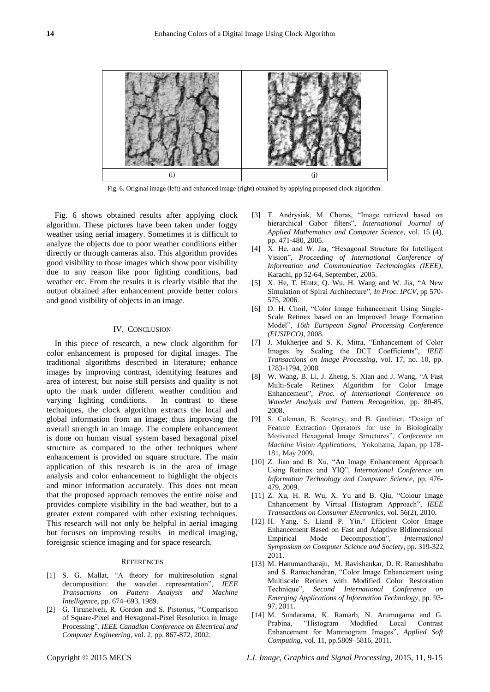

Fig. 6. Original image (left) and enhanced image (right) obtained by applying proposed clock algorithm.

Fig. 6 shows obtained results after applying clock algorithm. These pictures have been taken under foggy weather using aerial imagery. Sometimes it is difficult to analyze the objects due to poor weather conditions either directly or through cameras also. This algorithm provides good visibility to those images which show poor visibility due to any reason like poor lighting conditions, bad weather etc. From the results it is clearly visible that the output obtained after enhancement provide better colors and good visibility of objects in an image.

#### IV. CONCLUSION

In this piece of research, a new clock algorithm for color enhancement is proposed for digital images. The traditional algorithms described in literature; enhance images by improving contrast, identifying features and area of interest, but noise still persists and quality is not upto the mark under different weather condition and varying lighting conditions. In contrast to these techniques, the clock algorithm extracts the local and global information from an image; thus improving the overall strength in an image. The complete enhancement is done on human visual system based hexagonal pixel structure as compared to the other techniques where enhancement is provided on square structure. The main application of this research is in the area of image analysis and color enhancement to highlight the objects and minor information accurately. This does not mean that the proposed approach removes the entire noise and provides complete visibility in the bad weather, but to a greater extent compared with other existing techniques. This research will not only be helpful in aerial imaging but focuses on improving results in medical imaging, foreignsic science imaging and for space research.

#### **REFERENCES**

- [1] S. G. Mallat, "A theory for multiresolution signal decomposition: the wavelet representation", *IEEE Transactions on Pattern Analysis and Machine Intelligence,* pp. 674–693, 1989.
- [2] G. Tirunelveli, R. Gordon and S. Pistorius, "Comparison of Square-Pixel and Hexagonal-Pixel Resolution in Image Processing", *IEEE Canadian Conference on Electrical and Computer Engineering*, vol. 2, pp. 867-872, 2002.
- [3] T. Andrysiak, M. Choras, "Image retrieval based on hierarchical Gabor filters", *International Journal of Applied Mathematics and Computer Science*, vol. 15 (4), pp. 471-480, 2005.
- [4] X. He, and W. Jia, "Hexagonal Structure for Intelligent Vision‖, *Proceeding of International Conference of Information and Communication Technologies (IEEE)*, Karachi, pp 52-64, September, 2005.
- [5] X. He, T. Hintz, Q. Wu, H. Wang and W. Jia, "A New Simulation of Spiral Architecture", *In Proc. IPCV*, pp 570-575, 2006.
- [6] D. H. Choil, "Color Image Enhancement Using Single-Scale Retinex based on an Improved Image Formation Model‖, *16th European Signal Processing Conference (EUSIPCO)*, 2008.
- [7] J. Mukherjee and S. K. Mitra, "Enhancement of Color Images by Scaling the DCT Coefficients", IEEE *Transactions on Image Processing*, vol. 17, no. 10, pp. 1783-1794, 2008.
- [8] W. Wang, B. Li, J. Zheng, S. Xian and J. Wang, "A Fast Multi-Scale Retinex Algorithm for Color Image Enhancement", Proc. of International Conference on *Wavelet Analysis and Pattern Recognition*, pp. 80-85, 2008.
- [9] S. Coleman, B. Scotney, and B. Gardiner, "Design of Feature Extraction Operators for use in Biologically Motivated Hexagonal Image Structures", Conference on *Machine Vision Applications*, Yokohama, Japan, pp 178- 181, May 2009.
- [10] Z. Jiao and B. Xu, "An Image Enhancement Approach Using Retinex and YIQ", *International Conference on Information Technology and Computer Science*, pp. 476- 479, 2009.
- $[11]$  Z. Xu, H. R. Wu, X. Yu and B. Qiu, "Colour Image Enhancement by Virtual Histogram Approach", *IEEE Transactions on Consumer Electronics*, vol. 56(2), 2010.
- [12] H. Yang, S. Liand P. Yin," Efficient Color Image Enhancement Based on Fast and Adaptive Bidimensional Empirical Mode Decomposition", *International Symposium on Computer Science and Society*, pp. 319-322, 2011.
- [13] M. Hanumantharaju, M. Ravishankar, D. R. Rameshbabu and S. Ramachandran, "Color Image Enhancement using Multiscale Retinex with Modified Color Restoration Technique", *Second International Conference on Emerging Applications of Information Technology*, pp. 93- 97, 2011.
- [14] M. Sundarama, K. Ramarb, N. Arumugama and G. Prabina, "Histogram Modified Local Contrast Enhancement for Mammogram Images", *Applied Soft Computing*, vol. 11, pp.5809–5816, 2011.